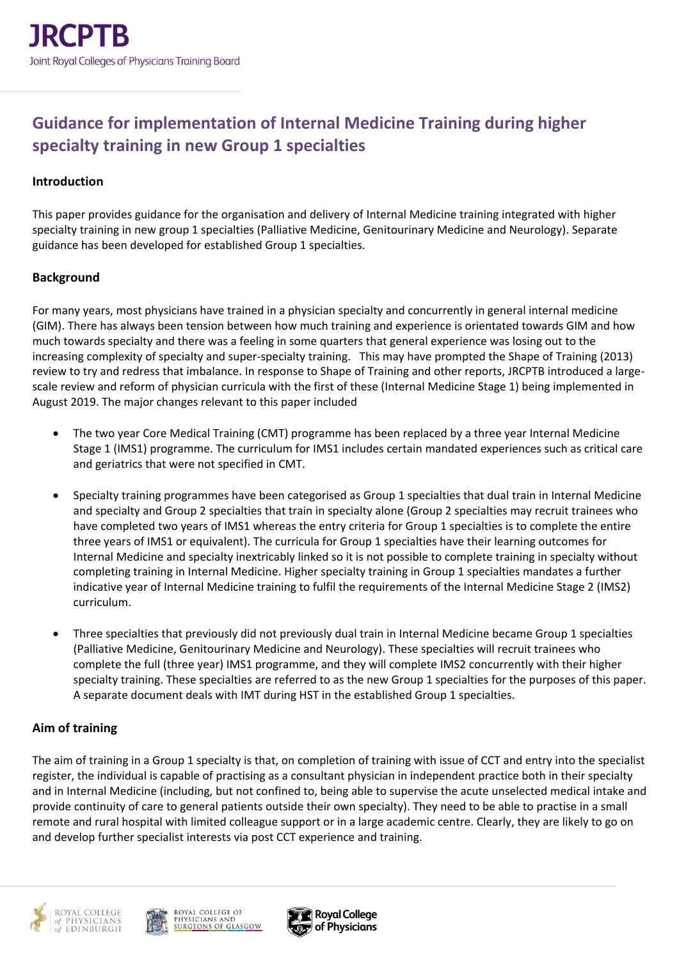# **Guidance for implementation of Internal Medicine Training during higher specialty training in new Group 1 specialties**

### **Introduction**

This paper provides guidance for the organisation and delivery of Internal Medicine training integrated with higher specialty training in new group 1 specialties (Palliative Medicine, Genitourinary Medicine and Neurology). Separate guidance has been developed for established Group 1 specialties.

### **Background**

For many years, most physicians have trained in a physician specialty and concurrently in general internal medicine (GIM). There has always been tension between how much training and experience is orientated towards GIM and how much towards specialty and there was a feeling in some quarters that general experience was losing out to the increasing complexity of specialty and super-specialty training. This may have prompted the Shape of Training (2013) review to try and redress that imbalance. In response to Shape of Training and other reports, JRCPTB introduced a largescale review and reform of physician curricula with the first of these (Internal Medicine Stage 1) being implemented in August 2019. The major changes relevant to this paper included

- The two year Core Medical Training (CMT) programme has been replaced by a three year Internal Medicine Stage 1 (IMS1) programme. The curriculum for IMS1 includes certain mandated experiences such as critical care and geriatrics that were not specified in CMT.
- Specialty training programmes have been categorised as Group 1 specialties that dual train in Internal Medicine and specialty and Group 2 specialties that train in specialty alone (Group 2 specialties may recruit trainees who have completed two years of IMS1 whereas the entry criteria for Group 1 specialties is to complete the entire three years of IMS1 or equivalent). The curricula for Group 1 specialties have their learning outcomes for Internal Medicine and specialty inextricably linked so it is not possible to complete training in specialty without completing training in Internal Medicine. Higher specialty training in Group 1 specialties mandates a further indicative year of Internal Medicine training to fulfil the requirements of the Internal Medicine Stage 2 (IMS2) curriculum.
- Three specialties that previously did not previously dual train in Internal Medicine became Group 1 specialties (Palliative Medicine, Genitourinary Medicine and Neurology). These specialties will recruit trainees who complete the full (three year) IMS1 programme, and they will complete IMS2 concurrently with their higher specialty training. These specialties are referred to as the new Group 1 specialties for the purposes of this paper. A separate document deals with IMT during HST in the established Group 1 specialties.

## **Aim of training**

The aim of training in a Group 1 specialty is that, on completion of training with issue of CCT and entry into the specialist register, the individual is capable of practising as a consultant physician in independent practice both in their specialty and in Internal Medicine (including, but not confined to, being able to supervise the acute unselected medical intake and provide continuity of care to general patients outside their own specialty). They need to be able to practise in a small remote and rural hospital with limited colleague support or in a large academic centre. Clearly, they are likely to go on and develop further specialist interests via post CCT experience and training.





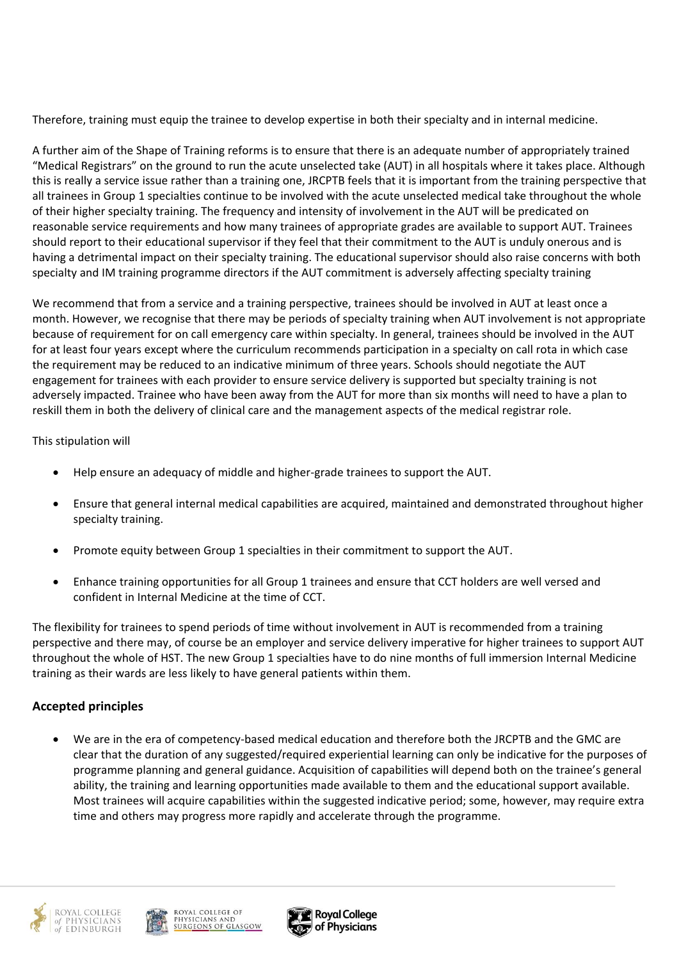Therefore, training must equip the trainee to develop expertise in both their specialty and in internal medicine.

A further aim of the Shape of Training reforms is to ensure that there is an adequate number of appropriately trained "Medical Registrars" on the ground to run the acute unselected take (AUT) in all hospitals where it takes place. Although this is really a service issue rather than a training one, JRCPTB feels that it is important from the training perspective that all trainees in Group 1 specialties continue to be involved with the acute unselected medical take throughout the whole of their higher specialty training. The frequency and intensity of involvement in the AUT will be predicated on reasonable service requirements and how many trainees of appropriate grades are available to support AUT. Trainees should report to their educational supervisor if they feel that their commitment to the AUT is unduly onerous and is having a detrimental impact on their specialty training. The educational supervisor should also raise concerns with both specialty and IM training programme directors if the AUT commitment is adversely affecting specialty training

We recommend that from a service and a training perspective, trainees should be involved in AUT at least once a month. However, we recognise that there may be periods of specialty training when AUT involvement is not appropriate because of requirement for on call emergency care within specialty. In general, trainees should be involved in the AUT for at least four years except where the curriculum recommends participation in a specialty on call rota in which case the requirement may be reduced to an indicative minimum of three years. Schools should negotiate the AUT engagement for trainees with each provider to ensure service delivery is supported but specialty training is not adversely impacted. Trainee who have been away from the AUT for more than six months will need to have a plan to reskill them in both the delivery of clinical care and the management aspects of the medical registrar role.

### This stipulation will

- Help ensure an adequacy of middle and higher-grade trainees to support the AUT.
- Ensure that general internal medical capabilities are acquired, maintained and demonstrated throughout higher specialty training.
- Promote equity between Group 1 specialties in their commitment to support the AUT.
- Enhance training opportunities for all Group 1 trainees and ensure that CCT holders are well versed and confident in Internal Medicine at the time of CCT.

The flexibility for trainees to spend periods of time without involvement in AUT is recommended from a training perspective and there may, of course be an employer and service delivery imperative for higher trainees to support AUT throughout the whole of HST. The new Group 1 specialties have to do nine months of full immersion Internal Medicine training as their wards are less likely to have general patients within them.

## **Accepted principles**

• We are in the era of competency-based medical education and therefore both the JRCPTB and the GMC are clear that the duration of any suggested/required experiential learning can only be indicative for the purposes of programme planning and general guidance. Acquisition of capabilities will depend both on the trainee's general ability, the training and learning opportunities made available to them and the educational support available. Most trainees will acquire capabilities within the suggested indicative period; some, however, may require extra time and others may progress more rapidly and accelerate through the programme.





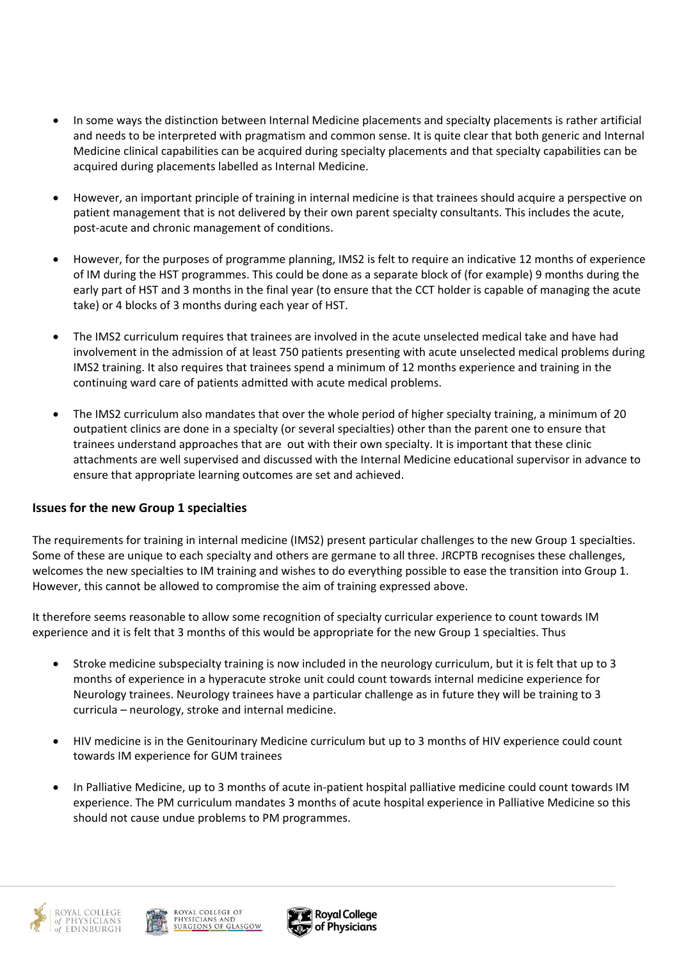- In some ways the distinction between Internal Medicine placements and specialty placements is rather artificial and needs to be interpreted with pragmatism and common sense. It is quite clear that both generic and Internal Medicine clinical capabilities can be acquired during specialty placements and that specialty capabilities can be acquired during placements labelled as Internal Medicine.
- However, an important principle of training in internal medicine is that trainees should acquire a perspective on patient management that is not delivered by their own parent specialty consultants. This includes the acute, post-acute and chronic management of conditions.
- However, for the purposes of programme planning, IMS2 is felt to require an indicative 12 months of experience of IM during the HST programmes. This could be done as a separate block of (for example) 9 months during the early part of HST and 3 months in the final year (to ensure that the CCT holder is capable of managing the acute take) or 4 blocks of 3 months during each year of HST.
- The IMS2 curriculum requires that trainees are involved in the acute unselected medical take and have had involvement in the admission of at least 750 patients presenting with acute unselected medical problems during IMS2 training. It also requires that trainees spend a minimum of 12 months experience and training in the continuing ward care of patients admitted with acute medical problems.
- The IMS2 curriculum also mandates that over the whole period of higher specialty training, a minimum of 20 outpatient clinics are done in a specialty (or several specialties) other than the parent one to ensure that trainees understand approaches that are out with their own specialty. It is important that these clinic attachments are well supervised and discussed with the Internal Medicine educational supervisor in advance to ensure that appropriate learning outcomes are set and achieved.

## **Issues for the new Group 1 specialties**

The requirements for training in internal medicine (IMS2) present particular challenges to the new Group 1 specialties. Some of these are unique to each specialty and others are germane to all three. JRCPTB recognises these challenges, welcomes the new specialties to IM training and wishes to do everything possible to ease the transition into Group 1. However, this cannot be allowed to compromise the aim of training expressed above.

It therefore seems reasonable to allow some recognition of specialty curricular experience to count towards IM experience and it is felt that 3 months of this would be appropriate for the new Group 1 specialties. Thus

- Stroke medicine subspecialty training is now included in the neurology curriculum, but it is felt that up to 3 months of experience in a hyperacute stroke unit could count towards internal medicine experience for Neurology trainees. Neurology trainees have a particular challenge as in future they will be training to 3 curricula – neurology, stroke and internal medicine.
- HIV medicine is in the Genitourinary Medicine curriculum but up to 3 months of HIV experience could count towards IM experience for GUM trainees
- In Palliative Medicine, up to 3 months of acute in-patient hospital palliative medicine could count towards IM experience. The PM curriculum mandates 3 months of acute hospital experience in Palliative Medicine so this should not cause undue problems to PM programmes.